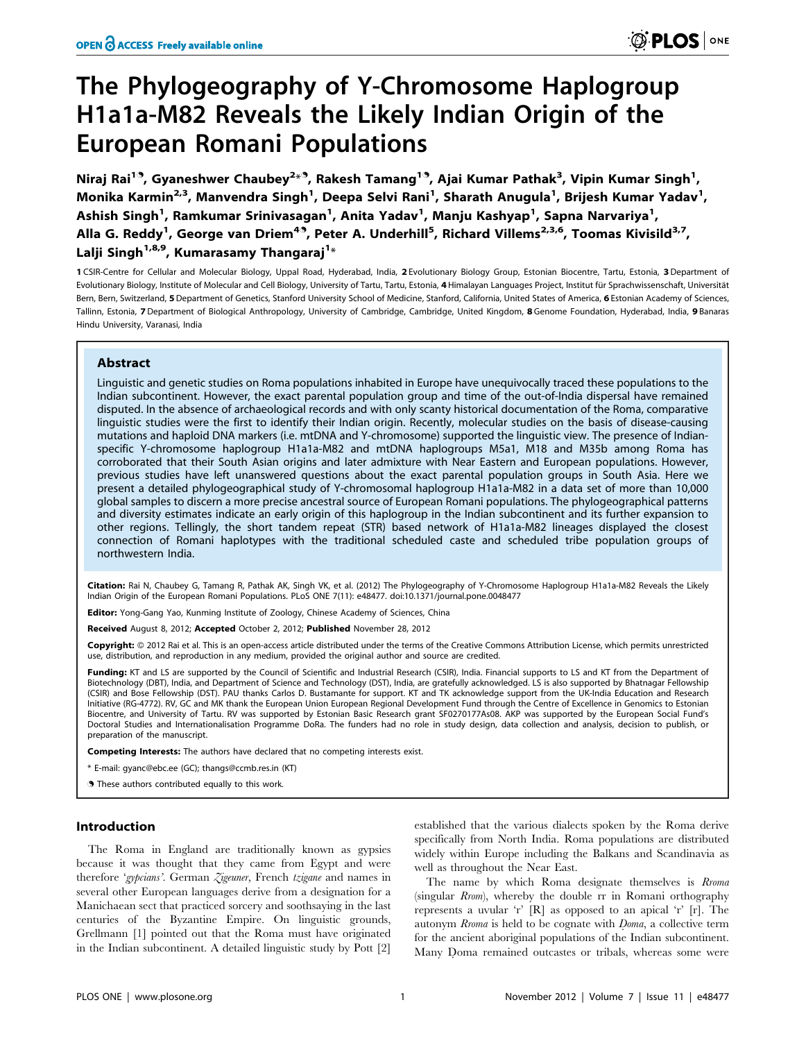# The Phylogeography of Y-Chromosome Haplogroup H1a1a-M82 Reveals the Likely Indian Origin of the European Romani Populations

Niraj Rai<sup>19</sup>, Gyaneshwer Chaubey<sup>2</sup>\*<sup>9</sup>, Rakesh Tamang<sup>19</sup>, Ajai Kumar Pathak<sup>3</sup>, Vipin Kumar Singh<sup>1</sup>, Monika Karmin<sup>2,3</sup>, Manvendra Singh<sup>1</sup>, Deepa Selvi Rani<sup>1</sup>, Sharath Anugula<sup>1</sup>, Brijesh Kumar Yadav<sup>1</sup>, Ashish Singh<sup>1</sup>, Ramkumar Srinivasagan<sup>1</sup>, Anita Yadav<sup>1</sup>, Manju Kashyap<sup>1</sup>, Sapna Narvariya<sup>1</sup>, Alla G. Reddy<sup>1</sup>, George van Driem<sup>49</sup>, Peter A. Underhill<sup>5</sup>, Richard Villems<sup>2,3,6</sup>, Toomas Kivisild<sup>3,7</sup>, Lalji Singh<sup>1,8,9</sup>, Kumarasamy Thangaraj<sup>1</sup>\*

1 CSIR-Centre for Cellular and Molecular Biology, Uppal Road, Hyderabad, India, 2 Evolutionary Biology Group, Estonian Biocentre, Tartu, Estonia, 3 Department of Evolutionary Biology, Institute of Molecular and Cell Biology, University of Tartu, Tartu, Estonia, 4 Himalayan Languages Project, Institut für Sprachwissenschaft, Universität Bern, Bern, Switzerland, 5 Department of Genetics, Stanford University School of Medicine, Stanford, California, United States of America, 6 Estonian Academy of Sciences, Tallinn, Estonia, 7 Department of Biological Anthropology, University of Cambridge, Cambridge, United Kingdom, 8 Genome Foundation, Hyderabad, India, 9 Banaras Hindu University, Varanasi, India

## Abstract

Linguistic and genetic studies on Roma populations inhabited in Europe have unequivocally traced these populations to the Indian subcontinent. However, the exact parental population group and time of the out-of-India dispersal have remained disputed. In the absence of archaeological records and with only scanty historical documentation of the Roma, comparative linguistic studies were the first to identify their Indian origin. Recently, molecular studies on the basis of disease-causing mutations and haploid DNA markers (i.e. mtDNA and Y-chromosome) supported the linguistic view. The presence of Indianspecific Y-chromosome haplogroup H1a1a-M82 and mtDNA haplogroups M5a1, M18 and M35b among Roma has corroborated that their South Asian origins and later admixture with Near Eastern and European populations. However, previous studies have left unanswered questions about the exact parental population groups in South Asia. Here we present a detailed phylogeographical study of Y-chromosomal haplogroup H1a1a-M82 in a data set of more than 10,000 global samples to discern a more precise ancestral source of European Romani populations. The phylogeographical patterns and diversity estimates indicate an early origin of this haplogroup in the Indian subcontinent and its further expansion to other regions. Tellingly, the short tandem repeat (STR) based network of H1a1a-M82 lineages displayed the closest connection of Romani haplotypes with the traditional scheduled caste and scheduled tribe population groups of northwestern India.

Citation: Rai N, Chaubey G, Tamang R, Pathak AK, Singh VK, et al. (2012) The Phylogeography of Y-Chromosome Haplogroup H1a1a-M82 Reveals the Likely Indian Origin of the European Romani Populations. PLoS ONE 7(11): e48477. doi:10.1371/journal.pone.0048477

Editor: Yong-Gang Yao, Kunming Institute of Zoology, Chinese Academy of Sciences, China

Received August 8, 2012; Accepted October 2, 2012; Published November 28, 2012

Copyright: © 2012 Rai et al. This is an open-access article distributed under the terms of the Creative Commons Attribution License, which permits unrestricted use, distribution, and reproduction in any medium, provided the original author and source are credited.

Funding: KT and LS are supported by the Council of Scientific and Industrial Research (CSIR), India. Financial supports to LS and KT from the Department of Biotechnology (DBT), India, and Department of Science and Technology (DST), India, are gratefully acknowledged. LS is also supported by Bhatnagar Fellowship (CSIR) and Bose Fellowship (DST). PAU thanks Carlos D. Bustamante for support. KT and TK acknowledge support from the UK-India Education and Research Initiative (RG-4772). RV, GC and MK thank the European Union European Regional Development Fund through the Centre of Excellence in Genomics to Estonian Biocentre, and University of Tartu. RV was supported by Estonian Basic Research grant SF0270177As08. AKP was supported by the European Social Fund's Doctoral Studies and Internationalisation Programme DoRa. The funders had no role in study design, data collection and analysis, decision to publish, or preparation of the manuscript.

Competing Interests: The authors have declared that no competing interests exist.

\* E-mail: gyanc@ebc.ee (GC); thangs@ccmb.res.in (KT)

**.** These authors contributed equally to this work.

## Introduction

The Roma in England are traditionally known as gypsies because it was thought that they came from Egypt and were therefore 'gypcians'. German Zigeuner, French tzigane and names in several other European languages derive from a designation for a Manichaean sect that practiced sorcery and soothsaying in the last centuries of the Byzantine Empire. On linguistic grounds, Grellmann [1] pointed out that the Roma must have originated in the Indian subcontinent. A detailed linguistic study by Pott [2]

established that the various dialects spoken by the Roma derive specifically from North India. Roma populations are distributed widely within Europe including the Balkans and Scandinavia as well as throughout the Near East.

The name by which Roma designate themselves is Rroma (singular Rrom), whereby the double rr in Romani orthography represents a uvular 'r' [R] as opposed to an apical 'r' [r]. The autonym *Rroma* is held to be cognate with *Doma*, a collective term for the ancient aboriginal populations of the Indian subcontinent. Many Doma remained outcastes or tribals, whereas some were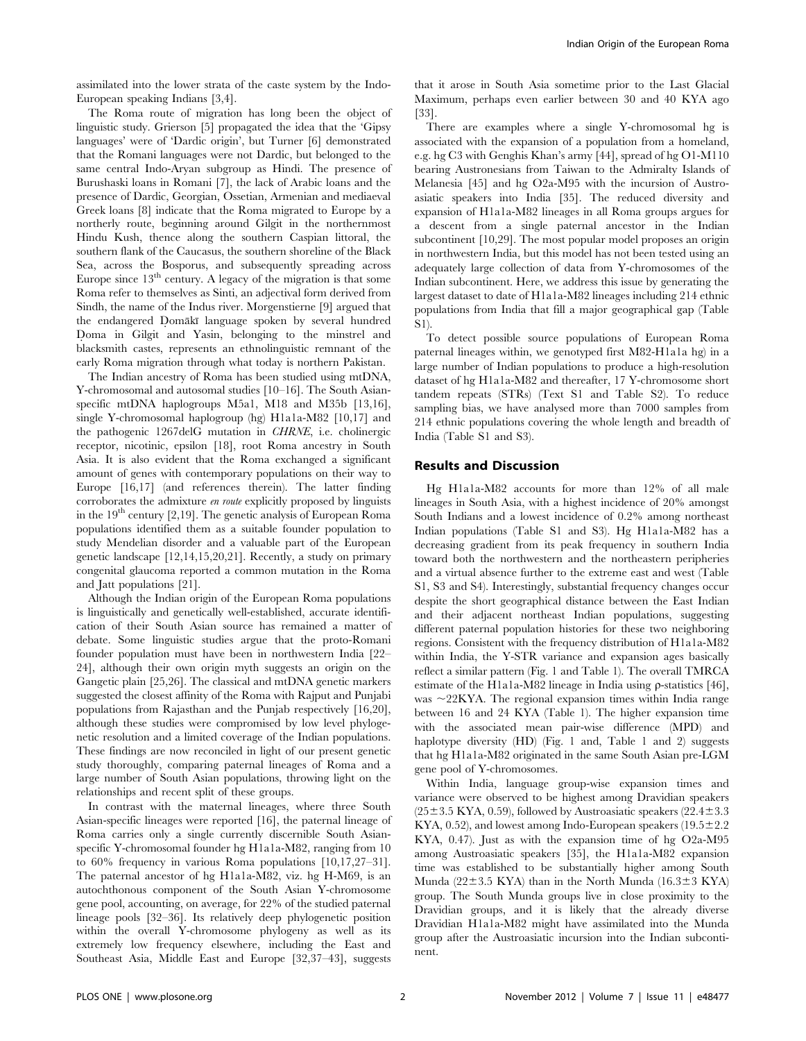assimilated into the lower strata of the caste system by the Indo-European speaking Indians [3,4].

The Roma route of migration has long been the object of linguistic study. Grierson [5] propagated the idea that the 'Gipsy languages' were of 'Dardic origin', but Turner [6] demonstrated that the Romani languages were not Dardic, but belonged to the same central Indo-Aryan subgroup as Hindi. The presence of Burushaski loans in Romani [7], the lack of Arabic loans and the presence of Dardic, Georgian, Ossetian, Armenian and mediaeval Greek loans [8] indicate that the Roma migrated to Europe by a northerly route, beginning around Gilgit in the northernmost Hindu Kush, thence along the southern Caspian littoral, the southern flank of the Caucasus, the southern shoreline of the Black Sea, across the Bosporus, and subsequently spreading across Europe since  $13<sup>th</sup>$  century. A legacy of the migration is that some Roma refer to themselves as Sinti, an adjectival form derived from Sindh, the name of the Indus river. Morgenstierne [9] argued that the endangered Domākī language spoken by several hundred Doma in Gilgit and Yasin, belonging to the minstrel and blacksmith castes, represents an ethnolinguistic remnant of the early Roma migration through what today is northern Pakistan.

The Indian ancestry of Roma has been studied using mtDNA, Y-chromosomal and autosomal studies [10–16]. The South Asianspecific mtDNA haplogroups M5a1, M18 and M35b [13,16], single Y-chromosomal haplogroup (hg) H1a1a-M82 [10,17] and the pathogenic 1267delG mutation in CHRNE, i.e. cholinergic receptor, nicotinic, epsilon [18], root Roma ancestry in South Asia. It is also evident that the Roma exchanged a significant amount of genes with contemporary populations on their way to Europe [16,17] (and references therein). The latter finding corroborates the admixture en route explicitly proposed by linguists in the  $19<sup>th</sup>$  century [2,19]. The genetic analysis of European Roma populations identified them as a suitable founder population to study Mendelian disorder and a valuable part of the European genetic landscape [12,14,15,20,21]. Recently, a study on primary congenital glaucoma reported a common mutation in the Roma and Jatt populations [21].

Although the Indian origin of the European Roma populations is linguistically and genetically well-established, accurate identification of their South Asian source has remained a matter of debate. Some linguistic studies argue that the proto-Romani founder population must have been in northwestern India [22– 24], although their own origin myth suggests an origin on the Gangetic plain [25,26]. The classical and mtDNA genetic markers suggested the closest affinity of the Roma with Rajput and Punjabi populations from Rajasthan and the Punjab respectively [16,20], although these studies were compromised by low level phylogenetic resolution and a limited coverage of the Indian populations. These findings are now reconciled in light of our present genetic study thoroughly, comparing paternal lineages of Roma and a large number of South Asian populations, throwing light on the relationships and recent split of these groups.

In contrast with the maternal lineages, where three South Asian-specific lineages were reported [16], the paternal lineage of Roma carries only a single currently discernible South Asianspecific Y-chromosomal founder hg H1a1a-M82, ranging from 10 to 60% frequency in various Roma populations [10,17,27–31]. The paternal ancestor of hg H1a1a-M82, viz. hg H-M69, is an autochthonous component of the South Asian Y-chromosome gene pool, accounting, on average, for 22% of the studied paternal lineage pools [32–36]. Its relatively deep phylogenetic position within the overall Y-chromosome phylogeny as well as its extremely low frequency elsewhere, including the East and Southeast Asia, Middle East and Europe [32,37–43], suggests

that it arose in South Asia sometime prior to the Last Glacial Maximum, perhaps even earlier between 30 and 40 KYA ago [33].

There are examples where a single Y-chromosomal hg is associated with the expansion of a population from a homeland, e.g. hg C3 with Genghis Khan's army [44], spread of hg O1-M110 bearing Austronesians from Taiwan to the Admiralty Islands of Melanesia [45] and hg O2a-M95 with the incursion of Austroasiatic speakers into India [35]. The reduced diversity and expansion of H1a1a-M82 lineages in all Roma groups argues for a descent from a single paternal ancestor in the Indian subcontinent [10,29]. The most popular model proposes an origin in northwestern India, but this model has not been tested using an adequately large collection of data from Y-chromosomes of the Indian subcontinent. Here, we address this issue by generating the largest dataset to date of H1a1a-M82 lineages including 214 ethnic populations from India that fill a major geographical gap (Table S1).

To detect possible source populations of European Roma paternal lineages within, we genotyped first M82-H1a1a hg) in a large number of Indian populations to produce a high-resolution dataset of hg H1a1a-M82 and thereafter, 17 Y-chromosome short tandem repeats (STRs) (Text S1 and Table S2). To reduce sampling bias, we have analysed more than 7000 samples from 214 ethnic populations covering the whole length and breadth of India (Table S1 and S3).

# Results and Discussion

Hg H1a1a-M82 accounts for more than 12% of all male lineages in South Asia, with a highest incidence of 20% amongst South Indians and a lowest incidence of 0.2% among northeast Indian populations (Table S1 and S3). Hg H1a1a-M82 has a decreasing gradient from its peak frequency in southern India toward both the northwestern and the northeastern peripheries and a virtual absence further to the extreme east and west (Table S1, S3 and S4). Interestingly, substantial frequency changes occur despite the short geographical distance between the East Indian and their adjacent northeast Indian populations, suggesting different paternal population histories for these two neighboring regions. Consistent with the frequency distribution of H1a1a-M82 within India, the Y-STR variance and expansion ages basically reflect a similar pattern (Fig. 1 and Table 1). The overall TMRCA estimate of the H1a1a-M82 lineage in India using  $\rho$ -statistics [46], was  $\sim$ 22KYA. The regional expansion times within India range between 16 and 24 KYA (Table 1). The higher expansion time with the associated mean pair-wise difference (MPD) and haplotype diversity (HD) (Fig. 1 and, Table 1 and 2) suggests that hg H1a1a-M82 originated in the same South Asian pre-LGM gene pool of Y-chromosomes.

Within India, language group-wise expansion times and variance were observed to be highest among Dravidian speakers  $(25\pm3.5 \text{ KYA}, 0.59)$ , followed by Austroasiatic speakers  $(22.4\pm3.3 \text{ KYA})$ KYA, 0.52), and lowest among Indo-European speakers  $(19.5 \pm 2.2)$ KYA, 0.47). Just as with the expansion time of hg O2a-M95 among Austroasiatic speakers [35], the H1a1a-M82 expansion time was established to be substantially higher among South Munda (22 $\pm$ 3.5 KYA) than in the North Munda (16.3 $\pm$ 3 KYA) group. The South Munda groups live in close proximity to the Dravidian groups, and it is likely that the already diverse Dravidian H1a1a-M82 might have assimilated into the Munda group after the Austroasiatic incursion into the Indian subcontinent.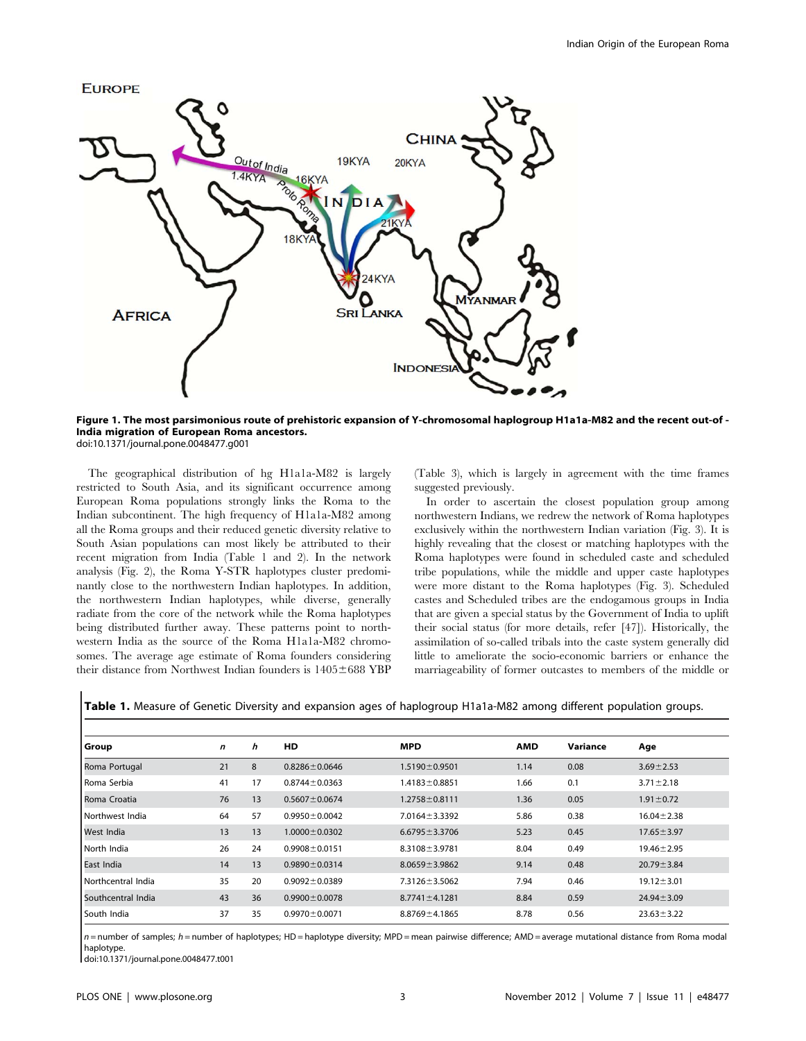

Figure 1. The most parsimonious route of prehistoric expansion of Y-chromosomal haplogroup H1a1a-M82 and the recent out-of - India migration of European Roma ancestors. doi:10.1371/journal.pone.0048477.g001

The geographical distribution of hg H1a1a-M82 is largely restricted to South Asia, and its significant occurrence among European Roma populations strongly links the Roma to the Indian subcontinent. The high frequency of H1a1a-M82 among all the Roma groups and their reduced genetic diversity relative to South Asian populations can most likely be attributed to their recent migration from India (Table 1 and 2). In the network analysis (Fig. 2), the Roma Y-STR haplotypes cluster predominantly close to the northwestern Indian haplotypes. In addition, the northwestern Indian haplotypes, while diverse, generally radiate from the core of the network while the Roma haplotypes being distributed further away. These patterns point to northwestern India as the source of the Roma H1a1a-M82 chromosomes. The average age estimate of Roma founders considering their distance from Northwest Indian founders is  $1405 \pm 688$  YBP (Table 3), which is largely in agreement with the time frames suggested previously.

In order to ascertain the closest population group among northwestern Indians, we redrew the network of Roma haplotypes exclusively within the northwestern Indian variation (Fig. 3). It is highly revealing that the closest or matching haplotypes with the Roma haplotypes were found in scheduled caste and scheduled tribe populations, while the middle and upper caste haplotypes were more distant to the Roma haplotypes (Fig. 3). Scheduled castes and Scheduled tribes are the endogamous groups in India that are given a special status by the Government of India to uplift their social status (for more details, refer [47]). Historically, the assimilation of so-called tribals into the caste system generally did little to ameliorate the socio-economic barriers or enhance the marriageability of former outcastes to members of the middle or

Table 1. Measure of Genetic Diversity and expansion ages of haplogroup H1a1a-M82 among different population groups.

| Group              | $\boldsymbol{n}$ | h  | <b>HD</b>           | <b>MPD</b>          | <b>AMD</b> | Variance | Age              |
|--------------------|------------------|----|---------------------|---------------------|------------|----------|------------------|
| Roma Portugal      | 21               | 8  | $0.8286 \pm 0.0646$ | $1.5190 \pm 0.9501$ | 1.14       | 0.08     | $3.69 \pm 2.53$  |
| l Roma Serbia      | 41               | 17 | $0.8744 \pm 0.0363$ | $1.4183 \pm 0.8851$ | 1.66       | 0.1      | $3.71 \pm 2.18$  |
| Roma Croatia       | 76               | 13 | $0.5607 \pm 0.0674$ | $1.2758 \pm 0.8111$ | 1.36       | 0.05     | $1.91 \pm 0.72$  |
| Northwest India    | 64               | 57 | $0.9950 \pm 0.0042$ | $7.0164 \pm 3.3392$ | 5.86       | 0.38     | $16.04 \pm 2.38$ |
| <b>West India</b>  | 13               | 13 | $1.0000 \pm 0.0302$ | $6.6795 \pm 3.3706$ | 5.23       | 0.45     | $17.65 \pm 3.97$ |
| North India        | 26               | 24 | $0.9908 \pm 0.0151$ | $8.3108 \pm 3.9781$ | 8.04       | 0.49     | $19.46 \pm 2.95$ |
| East India         | 14               | 13 | $0.9890 \pm 0.0314$ | $8.0659 \pm 3.9862$ | 9.14       | 0.48     | $20.79 \pm 3.84$ |
| Northcentral India | 35               | 20 | $0.9092 \pm 0.0389$ | $7.3126 \pm 3.5062$ | 7.94       | 0.46     | $19.12 \pm 3.01$ |
| Southcentral India | 43               | 36 | $0.9900 \pm 0.0078$ | $8.7741 \pm 4.1281$ | 8.84       | 0.59     | $24.94 \pm 3.09$ |
| South India        | 37               | 35 | $0.9970 \pm 0.0071$ | $8.8769 \pm 4.1865$ | 8.78       | 0.56     | $23.63 \pm 3.22$ |

 $n =$  number of samples;  $h =$  number of haplotypes; HD = haplotype diversity; MPD = mean pairwise difference; AMD = average mutational distance from Roma modal haplotype.

doi:10.1371/journal.pone.0048477.t001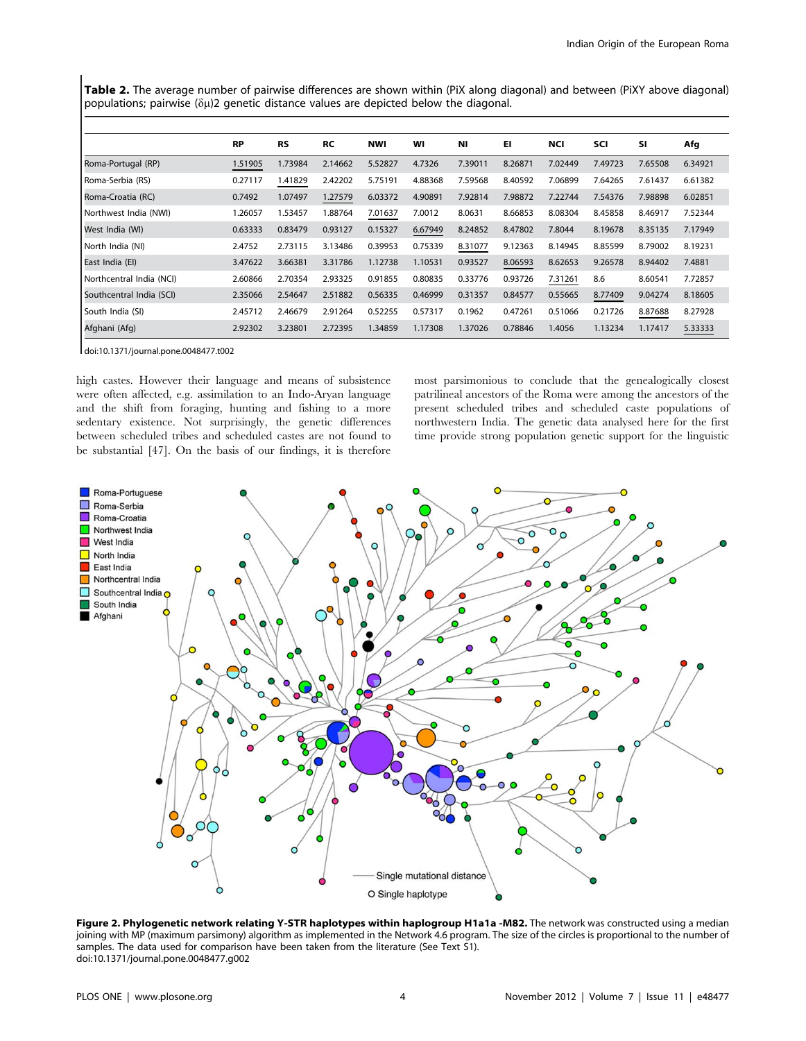Table 2. The average number of pairwise differences are shown within (PiX along diagonal) and between (PiXY above diagonal) populations; pairwise  $(\delta \mu)$ 2 genetic distance values are depicted below the diagonal.

|                          | <b>RP</b> | <b>RS</b> | <b>RC</b> | NWI     | WI      | ΝI      | EI      | NCI     | SCI     | <b>SI</b> | Afg     |
|--------------------------|-----------|-----------|-----------|---------|---------|---------|---------|---------|---------|-----------|---------|
| Roma-Portugal (RP)       | 1.51905   | 1.73984   | 2.14662   | 5.52827 | 4.7326  | 7.39011 | 8.26871 | 7.02449 | 7.49723 | 7.65508   | 6.34921 |
| l Roma-Serbia (RS)       | 0.27117   | 1.41829   | 2.42202   | 5.75191 | 4.88368 | 7.59568 | 8.40592 | 7.06899 | 7.64265 | 7.61437   | 6.61382 |
| Roma-Croatia (RC)        | 0.7492    | 1.07497   | 1.27579   | 6.03372 | 4.90891 | 7.92814 | 7.98872 | 7.22744 | 7.54376 | 7.98898   | 6.02851 |
| Northwest India (NWI)    | 1.26057   | 1.53457   | 1.88764   | 7.01637 | 7.0012  | 8.0631  | 8.66853 | 8.08304 | 8.45858 | 8.46917   | 7.52344 |
| West India (WI)          | 0.63333   | 0.83479   | 0.93127   | 0.15327 | 6.67949 | 8.24852 | 8.47802 | 7.8044  | 8.19678 | 8.35135   | 7.17949 |
| l North India (NI)       | 2.4752    | 2.73115   | 3.13486   | 0.39953 | 0.75339 | 8.31077 | 9.12363 | 8.14945 | 8.85599 | 8.79002   | 8.19231 |
| East India (EI)          | 3.47622   | 3.66381   | 3.31786   | 1.12738 | 1.10531 | 0.93527 | 8.06593 | 8.62653 | 9.26578 | 8.94402   | 7.4881  |
| Northcentral India (NCI) | 2.60866   | 2.70354   | 2.93325   | 0.91855 | 0.80835 | 0.33776 | 0.93726 | 7.31261 | 8.6     | 8.60541   | 7.72857 |
| Southcentral India (SCI) | 2.35066   | 2.54647   | 2.51882   | 0.56335 | 0.46999 | 0.31357 | 0.84577 | 0.55665 | 8.77409 | 9.04274   | 8.18605 |
| South India (SI)         | 2.45712   | 2.46679   | 2.91264   | 0.52255 | 0.57317 | 0.1962  | 0.47261 | 0.51066 | 0.21726 | 8.87688   | 8.27928 |
| Afghani (Afg)            | 2.92302   | 3.23801   | 2.72395   | 1.34859 | 1.17308 | 1.37026 | 0.78846 | 1.4056  | 1.13234 | 1.17417   | 5.33333 |

doi:10.1371/journal.pone.0048477.t002

high castes. However their language and means of subsistence were often affected, e.g. assimilation to an Indo-Aryan language and the shift from foraging, hunting and fishing to a more sedentary existence. Not surprisingly, the genetic differences between scheduled tribes and scheduled castes are not found to be substantial [47]. On the basis of our findings, it is therefore most parsimonious to conclude that the genealogically closest patrilineal ancestors of the Roma were among the ancestors of the present scheduled tribes and scheduled caste populations of northwestern India. The genetic data analysed here for the first time provide strong population genetic support for the linguistic



Figure 2. Phylogenetic network relating Y-STR haplotypes within haplogroup H1a1a -M82. The network was constructed using a median joining with MP (maximum parsimony) algorithm as implemented in the Network 4.6 program. The size of the circles is proportional to the number of samples. The data used for comparison have been taken from the literature (See Text S1). doi:10.1371/journal.pone.0048477.g002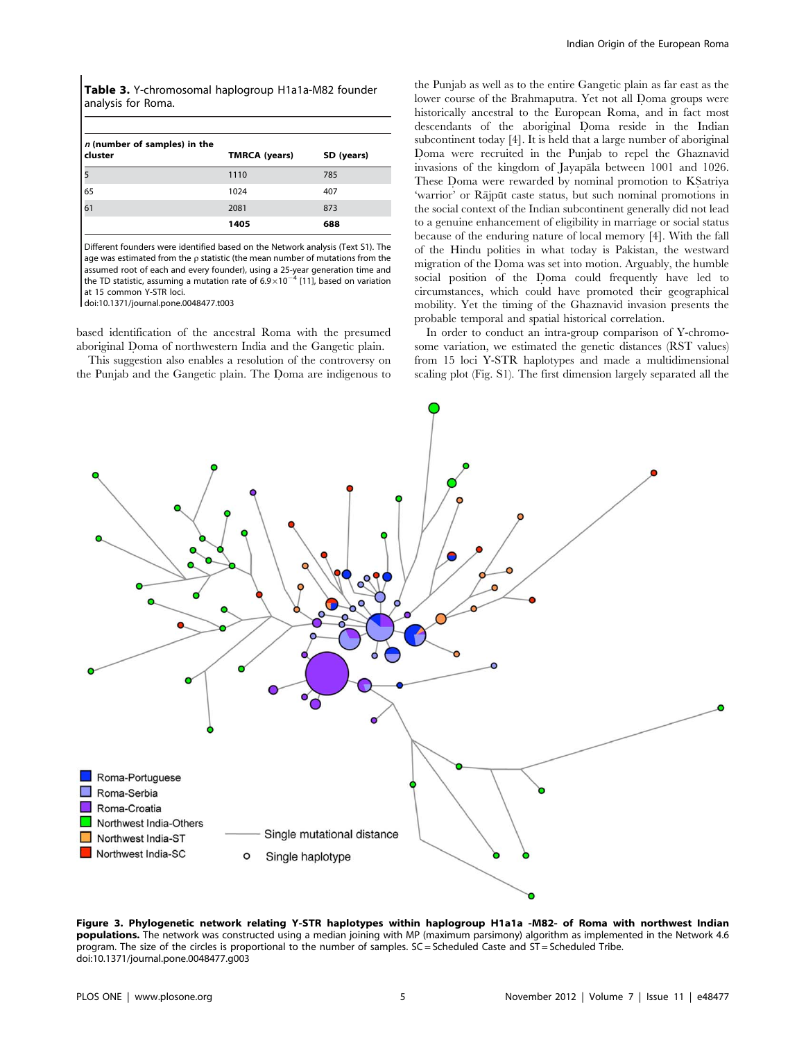Table 3. Y-chromosomal haplogroup H1a1a-M82 founder analysis for Roma.

| $n$ (number of samples) in the<br>cluster | <b>TMRCA</b> (years) | SD (years) |  |  |  |  |  |
|-------------------------------------------|----------------------|------------|--|--|--|--|--|
| 15                                        | 1110                 | 785        |  |  |  |  |  |
| 65                                        | 1024                 | 407        |  |  |  |  |  |
| 61                                        | 2081                 | 873        |  |  |  |  |  |
|                                           | 1405                 | 688        |  |  |  |  |  |

Different founders were identified based on the Network analysis (Text S1). The age was estimated from the  $\rho$  statistic (the mean number of mutations from the assumed root of each and every founder), using a 25-year generation time and the TD statistic, assuming a mutation rate of  $6.9 \times 10^{-4}$  [11], based on variation at 15 common Y-STR loci.

doi:10.1371/journal.pone.0048477.t003

based identification of the ancestral Roma with the presumed aboriginal Doma of northwestern India and the Gangetic plain.

This suggestion also enables a resolution of the controversy on the Punjab and the Gangetic plain. The Doma are indigenous to the Punjab as well as to the entire Gangetic plain as far east as the lower course of the Brahmaputra. Yet not all Doma groups were historically ancestral to the European Roma, and in fact most descendants of the aboriginal Doma reside in the Indian subcontinent today [4]. It is held that a large number of aboriginal Doma were recruited in the Punjab to repel the Ghaznavid invasions of the kingdom of Jayapala between 1001 and 1026. These Doma were rewarded by nominal promotion to KSatriya 'warrior' or Rājpūt caste status, but such nominal promotions in the social context of the Indian subcontinent generally did not lead to a genuine enhancement of eligibility in marriage or social status because of the enduring nature of local memory [4]. With the fall of the Hindu polities in what today is Pakistan, the westward migration of the Doma was set into motion. Arguably, the humble social position of the Doma could frequently have led to circumstances, which could have promoted their geographical mobility. Yet the timing of the Ghaznavid invasion presents the probable temporal and spatial historical correlation.

In order to conduct an intra-group comparison of Y-chromosome variation, we estimated the genetic distances (RST values) from 15 loci Y-STR haplotypes and made a multidimensional scaling plot (Fig. S1). The first dimension largely separated all the



Figure 3. Phylogenetic network relating Y-STR haplotypes within haplogroup H1a1a -M82- of Roma with northwest Indian populations. The network was constructed using a median joining with MP (maximum parsimony) algorithm as implemented in the Network 4.6 program. The size of the circles is proportional to the number of samples. SC = Scheduled Caste and ST = Scheduled Tribe. doi:10.1371/journal.pone.0048477.g003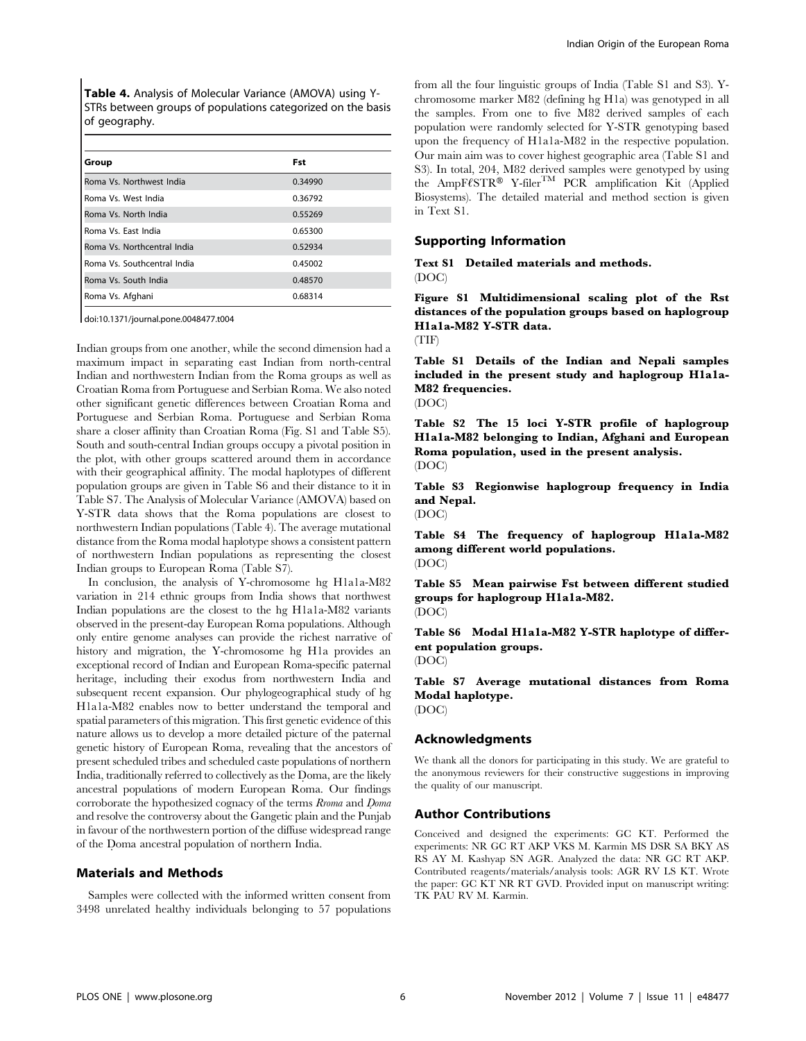Table 4. Analysis of Molecular Variance (AMOVA) using Y-STRs between groups of populations categorized on the basis of geography.

| Group                       | <b>Fst</b> |  |
|-----------------------------|------------|--|
| Roma Vs. Northwest India    | 0.34990    |  |
| Roma Vs. West India         | 0.36792    |  |
| Roma Vs. North India        | 0.55269    |  |
| Roma Vs. East India         | 0.65300    |  |
| Roma Vs. Northcentral India | 0.52934    |  |
| Roma Vs. Southcentral India | 0.45002    |  |
| Roma Vs. South India        | 0.48570    |  |
| Roma Vs. Afghani            | 0.68314    |  |
|                             |            |  |

doi:10.1371/journal.pone.0048477.t004

Indian groups from one another, while the second dimension had a maximum impact in separating east Indian from north-central Indian and northwestern Indian from the Roma groups as well as Croatian Roma from Portuguese and Serbian Roma. We also noted other significant genetic differences between Croatian Roma and Portuguese and Serbian Roma. Portuguese and Serbian Roma share a closer affinity than Croatian Roma (Fig. S1 and Table S5). South and south-central Indian groups occupy a pivotal position in the plot, with other groups scattered around them in accordance with their geographical affinity. The modal haplotypes of different population groups are given in Table S6 and their distance to it in Table S7. The Analysis of Molecular Variance (AMOVA) based on Y-STR data shows that the Roma populations are closest to northwestern Indian populations (Table 4). The average mutational distance from the Roma modal haplotype shows a consistent pattern of northwestern Indian populations as representing the closest Indian groups to European Roma (Table S7).

In conclusion, the analysis of Y-chromosome hg H1a1a-M82 variation in 214 ethnic groups from India shows that northwest Indian populations are the closest to the hg H1a1a-M82 variants observed in the present-day European Roma populations. Although only entire genome analyses can provide the richest narrative of history and migration, the Y-chromosome hg H1a provides an exceptional record of Indian and European Roma-specific paternal heritage, including their exodus from northwestern India and subsequent recent expansion. Our phylogeographical study of hg H1a1a-M82 enables now to better understand the temporal and spatial parameters of this migration. This first genetic evidence of this nature allows us to develop a more detailed picture of the paternal genetic history of European Roma, revealing that the ancestors of present scheduled tribes and scheduled caste populations of northern India, traditionally referred to collectively as the Doma, are the likely ancestral populations of modern European Roma. Our findings corroborate the hypothesized cognacy of the terms *Rroma* and *Doma* and resolve the controversy about the Gangetic plain and the Punjab in favour of the northwestern portion of the diffuse widespread range of the Doma ancestral population of northern India.

### Materials and Methods

Samples were collected with the informed written consent from 3498 unrelated healthy individuals belonging to 57 populations from all the four linguistic groups of India (Table S1 and S3). Ychromosome marker M82 (defining hg H1a) was genotyped in all the samples. From one to five M82 derived samples of each population were randomly selected for Y-STR genotyping based upon the frequency of H1a1a-M82 in the respective population. Our main aim was to cover highest geographic area (Table S1 and S3). In total, 204, M82 derived samples were genotyped by using the AmpF $\ell$ STR<sup>®</sup> Y-filer<sup>TM</sup> PCR amplification Kit (Applied Biosystems). The detailed material and method section is given in Text S1.

#### Supporting Information

Text S1 Detailed materials and methods. (DOC)

Figure S1 Multidimensional scaling plot of the Rst distances of the population groups based on haplogroup H1a1a-M82 Y-STR data.

(TIF)

Table S1 Details of the Indian and Nepali samples included in the present study and haplogroup H1a1a-M82 frequencies. (DOC)

Table S2 The 15 loci Y-STR profile of haplogroup H1a1a-M82 belonging to Indian, Afghani and European Roma population, used in the present analysis. (DOC)

Table S3 Regionwise haplogroup frequency in India and Nepal.

(DOC)

Table S4 The frequency of haplogroup H1a1a-M82 among different world populations. (DOC)

Table S5 Mean pairwise Fst between different studied groups for haplogroup H1a1a-M82.

(DOC)

Table S6 Modal H1a1a-M82 Y-STR haplotype of different population groups. (DOC)

Table S7 Average mutational distances from Roma Modal haplotype.

(DOC)

### Acknowledgments

We thank all the donors for participating in this study. We are grateful to the anonymous reviewers for their constructive suggestions in improving the quality of our manuscript.

#### Author Contributions

Conceived and designed the experiments: GC KT. Performed the experiments: NR GC RT AKP VKS M. Karmin MS DSR SA BKY AS RS AY M. Kashyap SN AGR. Analyzed the data: NR GC RT AKP. Contributed reagents/materials/analysis tools: AGR RV LS KT. Wrote the paper: GC KT NR RT GVD. Provided input on manuscript writing: TK PAU RV M. Karmin.